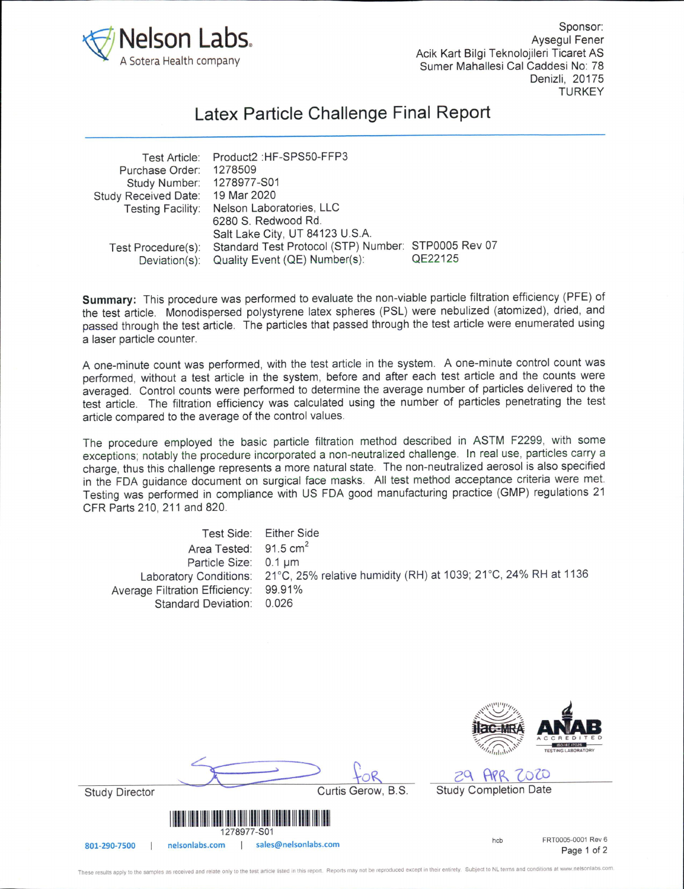

Sponsor; Aysegul Fener Acik Kart Bilgi Teknolojileri Ticaret AS Sumer Mahallesi Cal Caddesi No: 78 Denizii, 20175 **TURKEY** 

## Latex Particle Challenge Final Report

| Product2 : HF-SPS50-FFP3                            |         |
|-----------------------------------------------------|---------|
| 1278509                                             |         |
| 1278977-S01                                         |         |
| 19 Mar 2020                                         |         |
| Nelson Laboratories, LLC                            |         |
| 6280 S. Redwood Rd.                                 |         |
| Salt Lake City, UT 84123 U.S.A.                     |         |
| Standard Test Protocol (STP) Number: STP0005 Rev 07 |         |
| Quality Event (QE) Number(s):                       | QE22125 |
|                                                     |         |

Summary: This procedure was performed to evaluate the non-viable particle filtration efficiency (PFE) of the test article. Monodispersed polystyrene latex spheres (PSL) were nebulized (atomized), dried, and passed through the test article. The particles that passed through the test article were enumerated using a laser particle counter.

A one-minute count was performed, with the test article in the system. A one-minute control count was performed, without a test article in the system, before and after each test article and the counts were averaged. Control counts were performed to determine the average number of particles delivered to the test article. The filtration efficiency was calculated using the number of particles penetrating the test article compared to the average of the control values.

The procedure employed the basic particle filtration method described in ASTM F2299, with some exceptions; notably the procedure incorporated a non-neutralized challenge. In real use, particles carry a charge, thus this challenge represents a more natural state. The non-neutralized aerosol is also specified in the FDA guidance document on surgical face masks. All test method acceptance criteria were met. Testing was performed in compliance with US FDA good manufacturing practice (GMP) regulations 21 CFR Parts 210, 211 and 820.

Test Side: Either Side Area Tested: 91.5 cm<sup>2</sup> Particle Size: 0.1 µm Laboratory Conditions: 21°C, 25% relative humidity (RH) at 1039; 21°C, 24% RH at 1136 Average Filtration Efficiency: 99.91% Standard Deviation: 0.026



29 APR 2020 **Study Completion Date** 

study Director



FRT0005-0001 Rev 6 hch Page 1 of 2

Curtis Gerow, B.S.